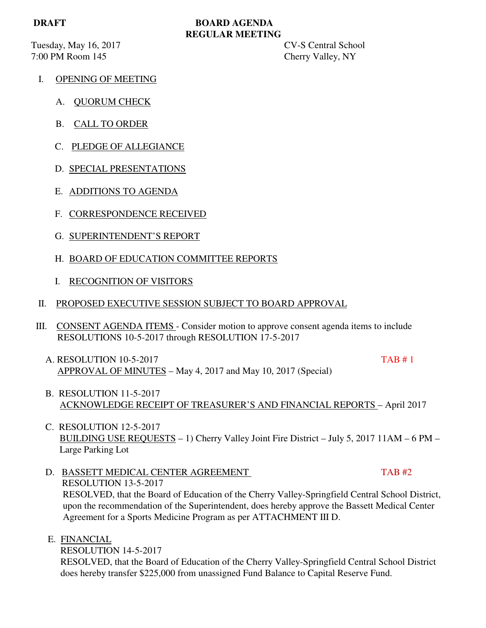Tuesday, May 16, 2017 **CV-S** Central School 7:00 PM Room 145 Cherry Valley, NY

# **DRAFT BOARD AGENDA REGULAR MEETING**

- I. OPENING OF MEETING
	- A. QUORUM CHECK
	- B. CALL TO ORDER
	- C. PLEDGE OF ALLEGIANCE
	- D. SPECIAL PRESENTATIONS
	- E. ADDITIONS TO AGENDA
	- F. CORRESPONDENCE RECEIVED
	- G. SUPERINTENDENT'S REPORT
	- H. BOARD OF EDUCATION COMMITTEE REPORTS
	- I. RECOGNITION OF VISITORS
- II. PROPOSED EXECUTIVE SESSION SUBJECT TO BOARD APPROVAL
- III. CONSENT AGENDA ITEMS Consider motion to approve consent agenda items to include RESOLUTIONS 10-5-2017 through RESOLUTION 17-5-2017
	- A. RESOLUTION 10-5-2017 TAB # 1 APPROVAL OF MINUTES – May 4, 2017 and May 10, 2017 (Special)
	- B. RESOLUTION 11-5-2017 ACKNOWLEDGE RECEIPT OF TREASURER'S AND FINANCIAL REPORTS – April 2017
	- C. RESOLUTION 12-5-2017 BUILDING USE REQUESTS – 1) Cherry Valley Joint Fire District – July 5, 2017 11AM – 6 PM – Large Parking Lot
	- D. BASSETT MEDICAL CENTER AGREEMENT TAB #2 RESOLUTION 13-5-2017 RESOLVED, that the Board of Education of the Cherry Valley-Springfield Central School District, upon the recommendation of the Superintendent, does hereby approve the Bassett Medical Center Agreement for a Sports Medicine Program as per ATTACHMENT III D.
	- E. FINANCIAL

RESOLUTION 14-5-2017

 RESOLVED, that the Board of Education of the Cherry Valley-Springfield Central School District does hereby transfer \$225,000 from unassigned Fund Balance to Capital Reserve Fund.